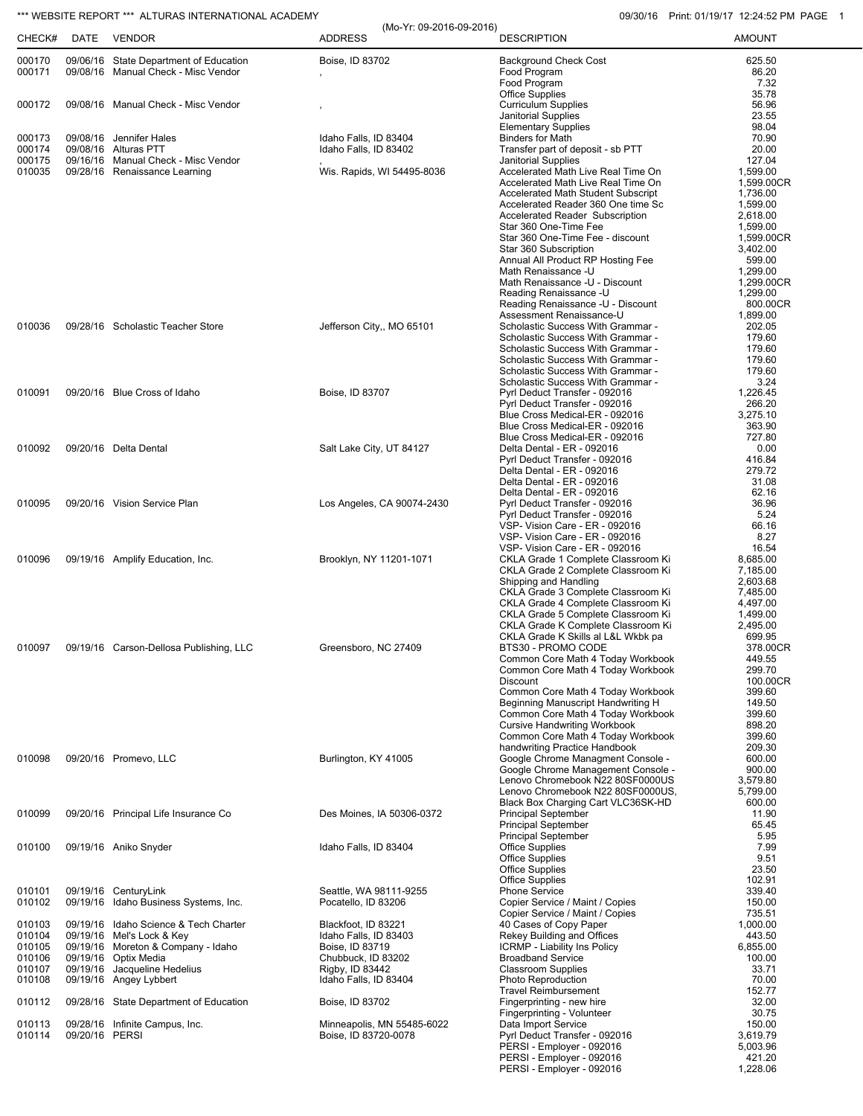## \*\*\* WEBSITE REPORT \*\*\* ALTURAS INTERNATIONAL ACADEMY **09/30/16** Print: 01/19/17 12:24:52 PM PAGE 1

| CHECK#           |                | ALTUIVAS INTENNATIONAL ACADEMI<br>DATE VENDOR                                 | (Mo-Yr: 09-2016-09-2016)<br><b>ADDRESS</b> | <b>DESCRIPTION</b>                                                              | F11111. U1113111 12.24.02 F101 F1<br><b>AMOUNT</b> |
|------------------|----------------|-------------------------------------------------------------------------------|--------------------------------------------|---------------------------------------------------------------------------------|----------------------------------------------------|
|                  |                |                                                                               |                                            |                                                                                 |                                                    |
| 000170<br>000171 |                | 09/06/16 State Department of Education<br>09/08/16 Manual Check - Misc Vendor | Boise, ID 83702                            | <b>Background Check Cost</b><br>Food Program                                    | 625.50<br>86.20                                    |
|                  |                |                                                                               |                                            | Food Program                                                                    | 7.32                                               |
|                  |                |                                                                               |                                            | <b>Office Supplies</b>                                                          | 35.78                                              |
| 000172           |                | 09/08/16 Manual Check - Misc Vendor                                           |                                            | <b>Curriculum Supplies</b><br>Janitorial Supplies                               | 56.96<br>23.55                                     |
|                  |                |                                                                               |                                            | <b>Elementary Supplies</b>                                                      | 98.04                                              |
| 000173           |                | 09/08/16 Jennifer Hales                                                       | Idaho Falls, ID 83404                      | <b>Binders for Math</b>                                                         | 70.90                                              |
| 000174<br>000175 |                | 09/08/16 Alturas PTT<br>09/16/16 Manual Check - Misc Vendor                   | Idaho Falls, ID 83402                      | Transfer part of deposit - sb PTT<br>Janitorial Supplies                        | 20.00<br>127.04                                    |
| 010035           |                | 09/28/16 Renaissance Learning                                                 | Wis. Rapids, WI 54495-8036                 | Accelerated Math Live Real Time On                                              | 1,599.00                                           |
|                  |                |                                                                               |                                            | Accelerated Math Live Real Time On                                              | 1,599.00CR                                         |
|                  |                |                                                                               |                                            | <b>Accelerated Math Student Subscript</b><br>Accelerated Reader 360 One time Sc | 1,736.00<br>1,599.00                               |
|                  |                |                                                                               |                                            | Accelerated Reader Subscription                                                 | 2,618.00                                           |
|                  |                |                                                                               |                                            | Star 360 One-Time Fee                                                           | 1,599.00                                           |
|                  |                |                                                                               |                                            | Star 360 One-Time Fee - discount<br>Star 360 Subscription                       | 1,599.00CR<br>3,402.00                             |
|                  |                |                                                                               |                                            | Annual All Product RP Hosting Fee                                               | 599.00                                             |
|                  |                |                                                                               |                                            | Math Renaissance -U<br>Math Renaissance -U - Discount                           | 1,299.00<br>1,299.00CR                             |
|                  |                |                                                                               |                                            | Reading Renaissance -U                                                          | 1.299.00                                           |
|                  |                |                                                                               |                                            | Reading Renaissance -U - Discount                                               | 800.00CR                                           |
| 010036           |                | 09/28/16 Scholastic Teacher Store                                             | Jefferson City,, MO 65101                  | Assessment Renaissance-U<br>Scholastic Success With Grammar -                   | 1,899.00<br>202.05                                 |
|                  |                |                                                                               |                                            | Scholastic Success With Grammar -                                               | 179.60                                             |
|                  |                |                                                                               |                                            | Scholastic Success With Grammar -                                               | 179.60                                             |
|                  |                |                                                                               |                                            | Scholastic Success With Grammar -<br>Scholastic Success With Grammar -          | 179.60<br>179.60                                   |
|                  |                |                                                                               |                                            | Scholastic Success With Grammar -                                               | 3.24                                               |
| 010091           |                | 09/20/16 Blue Cross of Idaho                                                  | Boise, ID 83707                            | Pyrl Deduct Transfer - 092016                                                   | 1,226.45                                           |
|                  |                |                                                                               |                                            | Pyrl Deduct Transfer - 092016<br>Blue Cross Medical-ER - 092016                 | 266.20<br>3,275.10                                 |
|                  |                |                                                                               |                                            | Blue Cross Medical-ER - 092016                                                  | 363.90                                             |
|                  |                |                                                                               |                                            | Blue Cross Medical-ER - 092016                                                  | 727.80                                             |
| 010092           |                | 09/20/16 Delta Dental                                                         | Salt Lake City, UT 84127                   | Delta Dental - ER - 092016<br>Pyrl Deduct Transfer - 092016                     | 0.00<br>416.84                                     |
|                  |                |                                                                               |                                            | Delta Dental - ER - 092016                                                      | 279.72                                             |
|                  |                |                                                                               |                                            | Delta Dental - ER - 092016                                                      | 31.08                                              |
| 010095           |                | 09/20/16 Vision Service Plan                                                  | Los Angeles, CA 90074-2430                 | Delta Dental - ER - 092016<br>Pyrl Deduct Transfer - 092016                     | 62.16<br>36.96                                     |
|                  |                |                                                                               |                                            | Pyrl Deduct Transfer - 092016                                                   | 5.24                                               |
|                  |                |                                                                               |                                            | VSP- Vision Care - ER - 092016<br>VSP- Vision Care - ER - 092016                | 66.16<br>8.27                                      |
|                  |                |                                                                               |                                            | VSP- Vision Care - ER - 092016                                                  | 16.54                                              |
| 010096           |                | 09/19/16 Amplify Education, Inc.                                              | Brooklyn, NY 11201-1071                    | CKLA Grade 1 Complete Classroom Ki                                              | 8,685.00                                           |
|                  |                |                                                                               |                                            | CKLA Grade 2 Complete Classroom Ki<br>Shipping and Handling                     | 7,185.00<br>2,603.68                               |
|                  |                |                                                                               |                                            | CKLA Grade 3 Complete Classroom Ki                                              | 7,485.00                                           |
|                  |                |                                                                               |                                            | CKLA Grade 4 Complete Classroom Ki                                              | 4,497.00                                           |
|                  |                |                                                                               |                                            | CKLA Grade 5 Complete Classroom Ki<br>CKLA Grade K Complete Classroom Ki        | 1,499.00<br>2,495.00                               |
|                  |                |                                                                               |                                            | CKLA Grade K Skills al L&L Wkbk pa                                              | 699.95                                             |
| 010097           |                | 09/19/16 Carson-Dellosa Publishing, LLC                                       | Greensboro, NC 27409                       | BTS30 - PROMO CODE                                                              | 378.00CR                                           |
|                  |                |                                                                               |                                            | Common Core Math 4 Today Workbook<br>Common Core Math 4 Today Workbook          | 449.55<br>299.70                                   |
|                  |                |                                                                               |                                            | <b>Discount</b>                                                                 | 100.00CR                                           |
|                  |                |                                                                               |                                            | Common Core Math 4 Today Workbook                                               | 399.60                                             |
|                  |                |                                                                               |                                            | Beginning Manuscript Handwriting H<br>Common Core Math 4 Today Workbook         | 149.50<br>399.60                                   |
|                  |                |                                                                               |                                            | <b>Cursive Handwriting Workbook</b>                                             | 898.20                                             |
|                  |                |                                                                               |                                            | Common Core Math 4 Today Workbook<br>handwriting Practice Handbook              | 399.60<br>209.30                                   |
| 010098           |                | 09/20/16 Promevo, LLC                                                         | Burlington, KY 41005                       | Google Chrome Managment Console -                                               | 600.00                                             |
|                  |                |                                                                               |                                            | Google Chrome Management Console -                                              | 900.00                                             |
|                  |                |                                                                               |                                            | Lenovo Chromebook N22 80SF0000US<br>Lenovo Chromebook N22 80SF0000US.           | 3,579.80<br>5,799.00                               |
|                  |                |                                                                               |                                            | Black Box Charging Cart VLC36SK-HD                                              | 600.00                                             |
| 010099           |                | 09/20/16 Principal Life Insurance Co                                          | Des Moines, IA 50306-0372                  | <b>Principal September</b>                                                      | 11.90                                              |
|                  |                |                                                                               |                                            | <b>Principal September</b><br><b>Principal September</b>                        | 65.45<br>5.95                                      |
| 010100           |                | 09/19/16 Aniko Snyder                                                         | Idaho Falls, ID 83404                      | <b>Office Supplies</b>                                                          | 7.99                                               |
|                  |                |                                                                               |                                            | Office Supplies                                                                 | 9.51                                               |
|                  |                |                                                                               |                                            | <b>Office Supplies</b><br><b>Office Supplies</b>                                | 23.50<br>102.91                                    |
| 010101           |                | 09/19/16 CenturyLink                                                          | Seattle, WA 98111-9255                     | <b>Phone Service</b>                                                            | 339.40                                             |
| 010102           |                | 09/19/16 Idaho Business Systems, Inc.                                         | Pocatello, ID 83206                        | Copier Service / Maint / Copies                                                 | 150.00                                             |
| 010103           |                | 09/19/16 Idaho Science & Tech Charter                                         | Blackfoot, ID 83221                        | Copier Service / Maint / Copies<br>40 Cases of Copy Paper                       | 735.51<br>1,000.00                                 |
| 010104           |                | 09/19/16 Mel's Lock & Key                                                     | Idaho Falls, ID 83403                      | Rekey Building and Offices                                                      | 443.50                                             |
| 010105<br>010106 |                | 09/19/16 Moreton & Company - Idaho<br>09/19/16 Optix Media                    | Boise, ID 83719<br>Chubbuck, ID 83202      | ICRMP - Liability Ins Policy<br><b>Broadband Service</b>                        | 6,855.00<br>100.00                                 |
| 010107           |                | 09/19/16 Jacqueline Hedelius                                                  | Rigby, ID 83442                            | <b>Classroom Supplies</b>                                                       | 33.71                                              |
| 010108           |                | 09/19/16 Angey Lybbert                                                        | Idaho Falls, ID 83404                      | Photo Reproduction                                                              | 70.00                                              |
| 010112           |                | 09/28/16 State Department of Education                                        | Boise, ID 83702                            | <b>Travel Reimbursement</b><br>Fingerprinting - new hire                        | 152.77<br>32.00                                    |
|                  |                |                                                                               |                                            | Fingerprinting - Volunteer                                                      | 30.75                                              |
| 010113           |                | 09/28/16 Infinite Campus, Inc.                                                | Minneapolis, MN 55485-6022                 | Data Import Service                                                             | 150.00                                             |
| 010114           | 09/20/16 PERSI |                                                                               | Boise, ID 83720-0078                       | Pyrl Deduct Transfer - 092016<br>PERSI - Employer - 092016                      | 3,619.79<br>5,003.96                               |
|                  |                |                                                                               |                                            | PERSI - Employer - 092016                                                       | 421.20                                             |
|                  |                |                                                                               |                                            | PERSI - Employer - 092016                                                       | 1,228.06                                           |